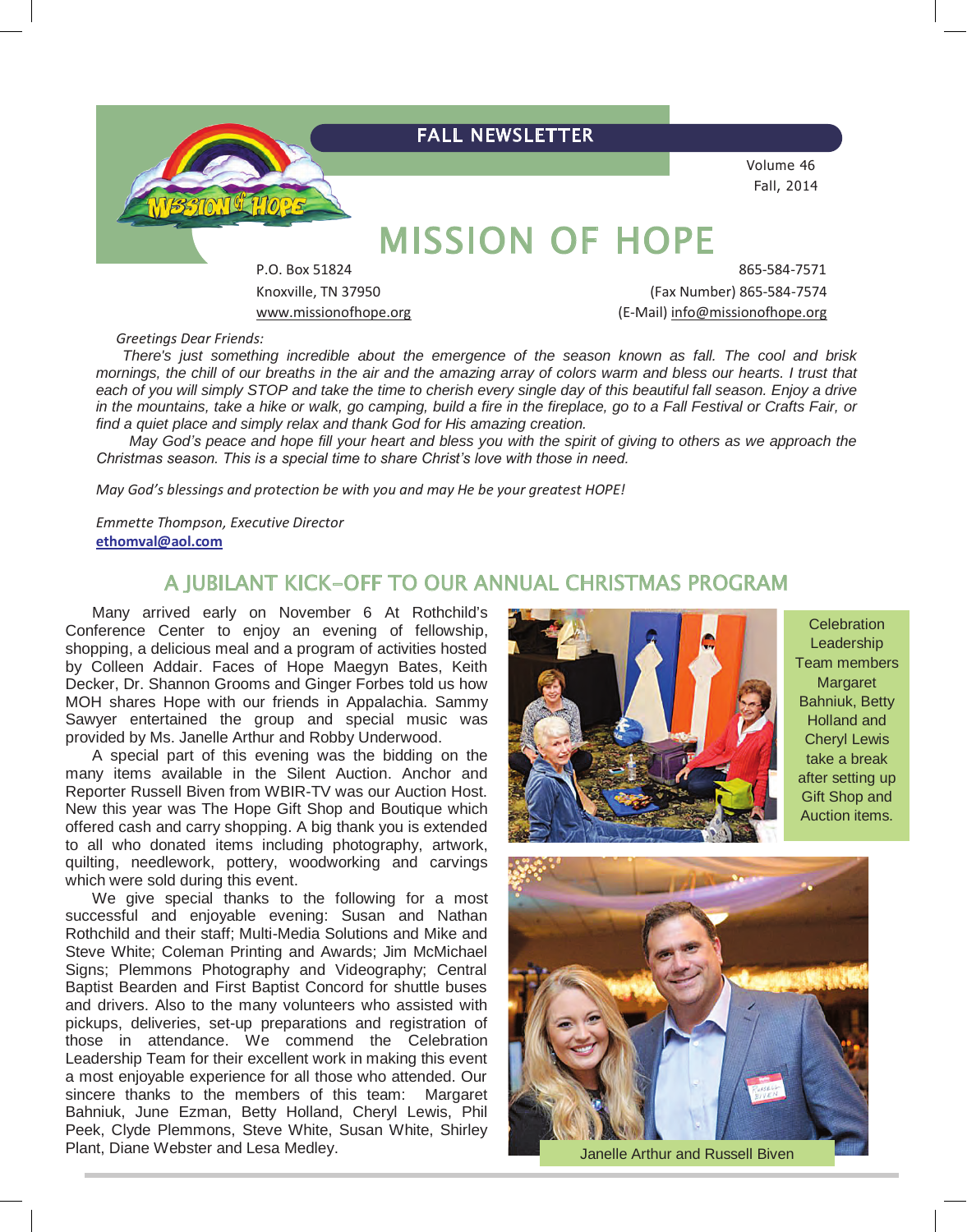

Knoxville, TN 37950 (Fax Number) 865-584-7574 www.missionofhope.org (E-Mail) info@missionofhope.org

*Greetings Dear Friends:*

*There's just something incredible about the emergence of the season known as fall. The cool and brisk mornings, the chill of our breaths in the air and the amazing array of colors warm and bless our hearts. I trust that each of you will simply STOP and take the time to cherish every single day of this beautiful fall season. Enjoy a drive in the mountains, take a hike or walk, go camping, build a fire in the fireplace, go to a Fall Festival or Crafts Fair, or find a quiet place and simply relax and thank God for His amazing creation.*

*May God's peace and hope fill your heart and bless you with the spirit of giving to others as we approach the Christmas season. This is a special time to share Christ's love with those in need.*

*May God's blessings and protection be with you and may He be your greatest HOPE!*

*Emmette Thompson, Executive Director* **ethomval@aol.com**

## A JUBILANT KICK-OFF TO OUR ANNUAL CHRISTMAS PROGRAM

Many arrived early on November 6 At Rothchild's Conference Center to enjoy an evening of fellowship, shopping, a delicious meal and a program of activities hosted by Colleen Addair. Faces of Hope Maegyn Bates, Keith Decker, Dr. Shannon Grooms and Ginger Forbes told us how MOH shares Hope with our friends in Appalachia. Sammy Sawyer entertained the group and special music was provided by Ms. Janelle Arthur and Robby Underwood.

A special part of this evening was the bidding on the many items available in the Silent Auction. Anchor and Reporter Russell Biven from WBIR-TV was our Auction Host. New this year was The Hope Gift Shop and Boutique which offered cash and carry shopping. A big thank you is extended to all who donated items including photography, artwork, quilting, needlework, pottery, woodworking and carvings which were sold during this event.

We give special thanks to the following for a most successful and enjoyable evening: Susan and Nathan Rothchild and their staff; Multi-Media Solutions and Mike and Steve White; Coleman Printing and Awards; Jim McMichael Signs; Plemmons Photography and Videography; Central Baptist Bearden and First Baptist Concord for shuttle buses and drivers. Also to the many volunteers who assisted with pickups, deliveries, set-up preparations and registration of those in attendance. We commend the Celebration Leadership Team for their excellent work in making this event a most enjoyable experience for all those who attended. Our sincere thanks to the members of this team: Margaret Bahniuk, June Ezman, Betty Holland, Cheryl Lewis, Phil Peek, Clyde Plemmons, Steve White, Susan White, Shirley Plant, Diane Webster and Lesa Medley.



**Celebration Leadership** Team members Margaret Bahniuk, Betty Holland and Cheryl Lewis take a break after setting up Gift Shop and Auction items.



Janelle Arthur and Russell Biven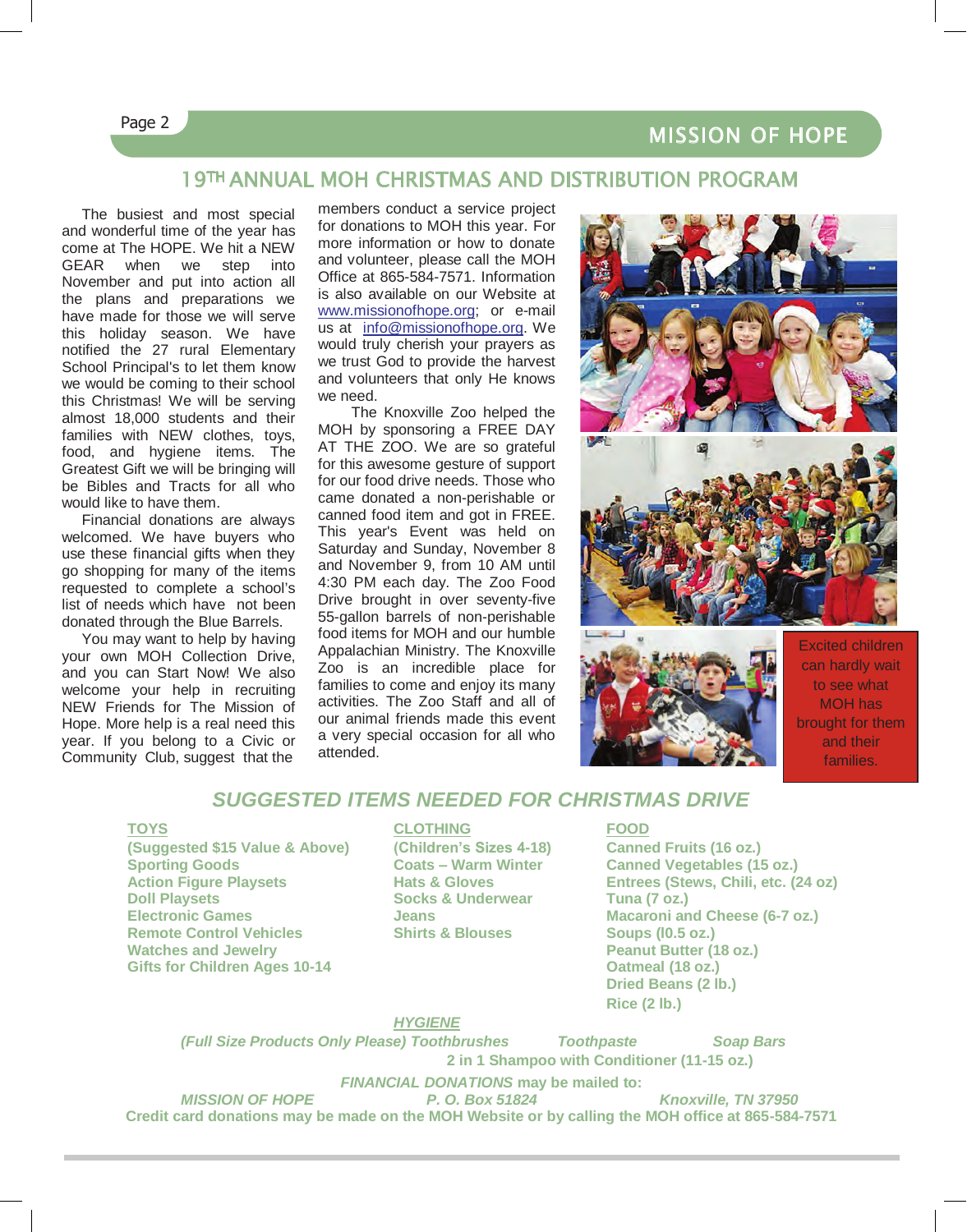# MISSION OF HOPE

### Page 2

L

## 19TH ANNUAL MOH CHRISTMAS AND DISTRIBUTION PROGRAM

The busiest and most special and wonderful time of the year has come at The HOPE. We hit a NEW GEAR when we step into November and put into action all the plans and preparations we have made for those we will serve this holiday season. We have notified the 27 rural Elementary School Principal's to let them know we would be coming to their school this Christmas! We will be serving almost 18,000 students and their families with NEW clothes, toys, food, and hygiene items. The Greatest Gift we will be bringing will be Bibles and Tracts for all who would like to have them.

Financial donations are always welcomed. We have buyers who use these financial gifts when they go shopping for many of the items requested to complete a school's list of needs which have not been donated through the Blue Barrels.

You may want to help by having your own MOH Collection Drive, and you can Start Now! We also welcome your help in recruiting NEW Friends for The Mission of Hope. More help is a real need this year. If you belong to a Civic or Community Club, suggest that the

members conduct a service project for donations to MOH this year. For more information or how to donate and volunteer, please call the MOH Office at 865-584-7571. Information is also available on our Website at www.missionofhope.org; or e-mail us at info@missionofhope.org. We would truly cherish your prayers as we trust God to provide the harvest and volunteers that only He knows we need.

The Knoxville Zoo helped the MOH by sponsoring a FREE DAY AT THE ZOO. We are so grateful for this awesome gesture of support for our food drive needs. Those who came donated a non-perishable or canned food item and got in FREE. This year's Event was held on Saturday and Sunday, November 8 and November 9, from 10 AM until 4:30 PM each day. The Zoo Food Drive brought in over seventy-five 55-gallon barrels of non-perishable food items for MOH and our humble Appalachian Ministry. The Knoxville Zoo is an incredible place for families to come and enjoy its many activities. The Zoo Staff and all of our animal friends made this event a very special occasion for all who attended.





Excited children can hardly wait to see what MOH has brought for them and their families.

### *SUGGESTED ITEMS NEEDED FOR CHRISTMAS DRIVE*

**(Suggested \$15 Value & Above) (Children's Sizes 4-18) Canned Fruits (16 oz.) Doll Playsets Socks & Underwear Tuna (7 oz.) Electronic Games Jeans Macaroni and Cheese (6-7 oz.) Remote Control Vehicles**<br>**Watches and Jewelry Gifts for Children Ages 10-14 Oatmeal (18 oz.)**

#### **TOYS CLOTHING FOOD**

**Canned Vegetables (15 oz.) Action Figure Playsets Hats & Gloves Entrees (Stews, Chili, etc. (24 oz) Peanut Butter (18 oz.) Dried Beans (2 lb.) Rice (2 lb.)**

*MISSION OF HOPE**P. O. Box 51824 Knoxville, TN 37950*

#### *HYGIENE*

*(Full Size Products Only Please) Toothbrushes Toothpaste Soap Bars* **2 in 1 Shampoo with Conditioner (11-15 oz.)**

*FINANCIAL DONATIONS* may be mailed to:<br>*P. O. Box 51824*<br>*P. O. Box 51824* 

**Credit card donations may be made on the MOH Website or by calling the MOH office at 865-584-7571**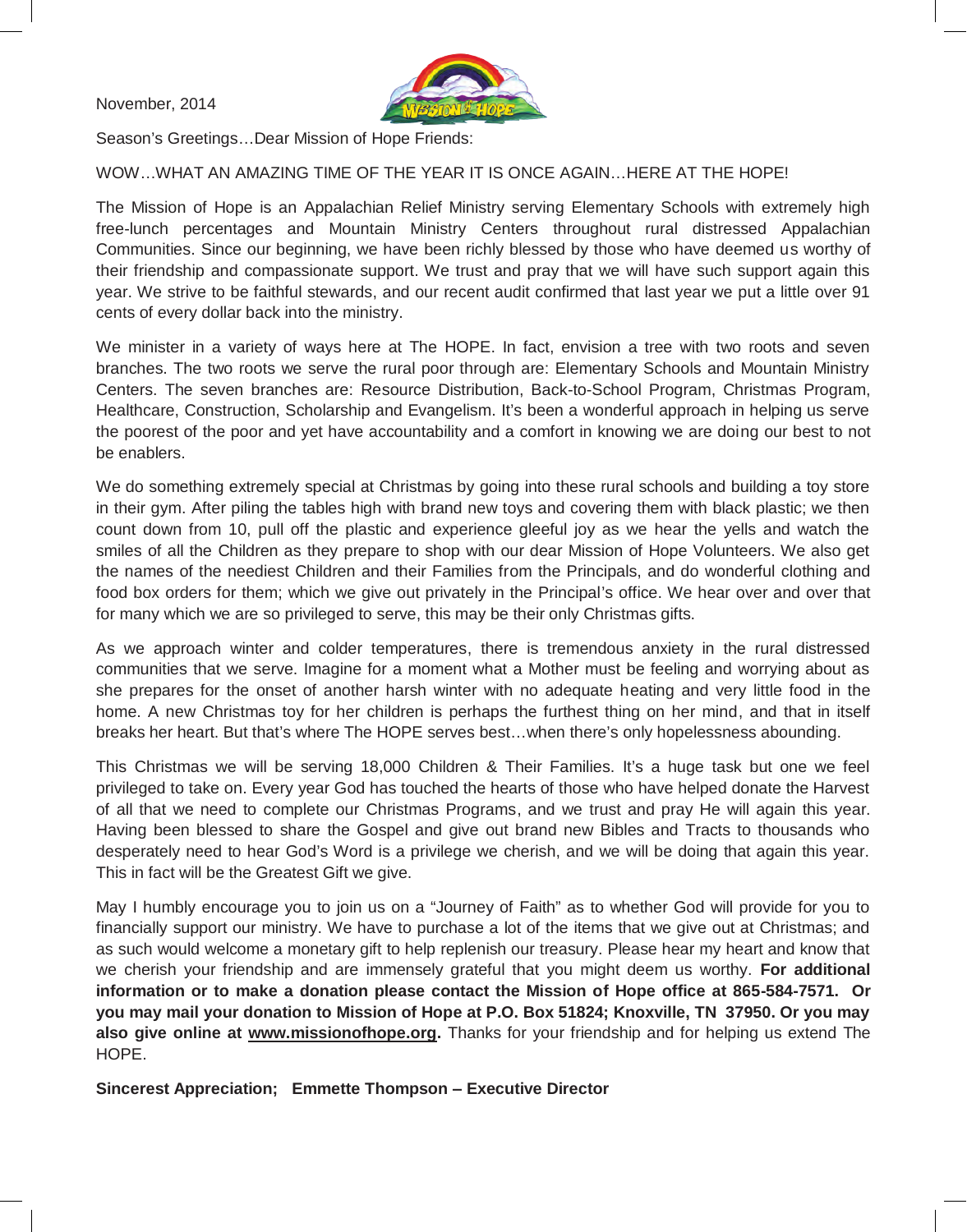November, 2014



Season's Greetings…Dear Mission of Hope Friends:

WOW…WHAT AN AMAZING TIME OF THE YEAR IT IS ONCE AGAIN…HERE AT THE HOPE!

The Mission of Hope is an Appalachian Relief Ministry serving Elementary Schools with extremely high free-lunch percentages and Mountain Ministry Centers throughout rural distressed Appalachian Communities. Since our beginning, we have been richly blessed by those who have deemed us worthy of their friendship and compassionate support. We trust and pray that we will have such support again this year. We strive to be faithful stewards, and our recent audit confirmed that last year we put a little over 91 cents of every dollar back into the ministry.

We minister in a variety of ways here at The HOPE. In fact, envision a tree with two roots and seven branches. The two roots we serve the rural poor through are: Elementary Schools and Mountain Ministry Centers. The seven branches are: Resource Distribution, Back-to-School Program, Christmas Program, Healthcare, Construction, Scholarship and Evangelism. It's been a wonderful approach in helping us serve the poorest of the poor and yet have accountability and a comfort in knowing we are doing our best to not be enablers.

We do something extremely special at Christmas by going into these rural schools and building a toy store in their gym. After piling the tables high with brand new toys and covering them with black plastic; we then count down from 10, pull off the plastic and experience gleeful joy as we hear the yells and watch the smiles of all the Children as they prepare to shop with our dear Mission of Hope Volunteers. We also get the names of the neediest Children and their Families from the Principals, and do wonderful clothing and food box orders for them; which we give out privately in the Principal's office. We hear over and over that for many which we are so privileged to serve, this may be their only Christmas gifts.

As we approach winter and colder temperatures, there is tremendous anxiety in the rural distressed communities that we serve. Imagine for a moment what a Mother must be feeling and worrying about as she prepares for the onset of another harsh winter with no adequate heating and very little food in the home. A new Christmas toy for her children is perhaps the furthest thing on her mind, and that in itself breaks her heart. But that's where The HOPE serves best…when there's only hopelessness abounding.

This Christmas we will be serving 18,000 Children & Their Families. It's a huge task but one we feel privileged to take on. Every year God has touched the hearts of those who have helped donate the Harvest of all that we need to complete our Christmas Programs, and we trust and pray He will again this year. Having been blessed to share the Gospel and give out brand new Bibles and Tracts to thousands who desperately need to hear God's Word is a privilege we cherish, and we will be doing that again this year. This in fact will be the Greatest Gift we give.

May I humbly encourage you to join us on a "Journey of Faith" as to whether God will provide for you to financially support our ministry. We have to purchase a lot of the items that we give out at Christmas; and as such would welcome a monetary gift to help replenish our treasury. Please hear my heart and know that we cherish your friendship and are immensely grateful that you might deem us worthy. **For additional information or to make a donation please contact the Mission of Hope office at 865-584-7571. Or you may mail your donation to Mission of Hope at P.O. Box 51824; Knoxville, TN 37950. Or you may also give online at www.missionofhope.org.** Thanks for your friendship and for helping us extend The HOPE.

**Sincerest Appreciation; Emmette Thompson – Executive Director**